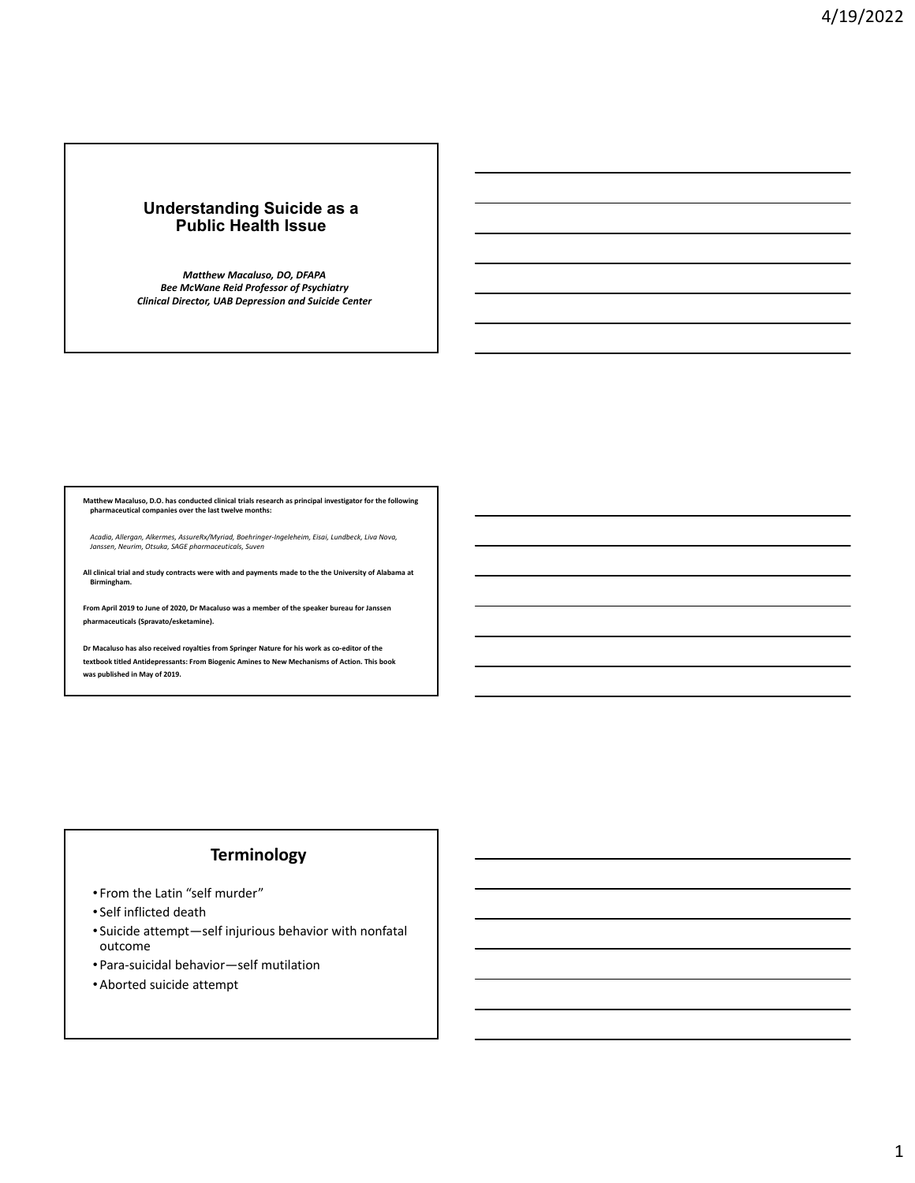## **Understanding Suicide as a Public Health Issue**

*Matthew Macaluso, DO, DFAPA Bee McWane Reid Professor of Psychiatry Clinical Director, UAB Depression and Suicide Center*

Matthew Macaluso, D.O. has conducted clinical trials research as principal investigator for the following<br>pharmaceutical companies over the last twelve months:

Acadia, Allergan, Alkermes, AssureRx/Myriad, Boehringer-Ingeleheim, Eisai, Lundbeck, Liva Nova,<br>Janssen, Neurim, Otsuka, SAGE pharmaceuticals, Suven

All clinical trial and study contracts were with and payments made to the the University of Alabama at **Birmingham.**

**From April 2019 to June of 2020, Dr Macaluso was a member of the speaker bureau for Janssen pharmaceuticals (Spravato/esketamine).**

**Dr Macaluso has also received royalties from Springer Nature for his work as co‐editor of the textbook titled Antidepressants: From Biogenic Amines to New Mechanisms of Action. This book was published in May of 2019.**

## **Terminology**

- From the Latin "self murder"
- Self inflicted death
- Suicide attempt—self injurious behavior with nonfatal outcome
- Para‐suicidal behavior—self mutilation
- Aborted suicide attempt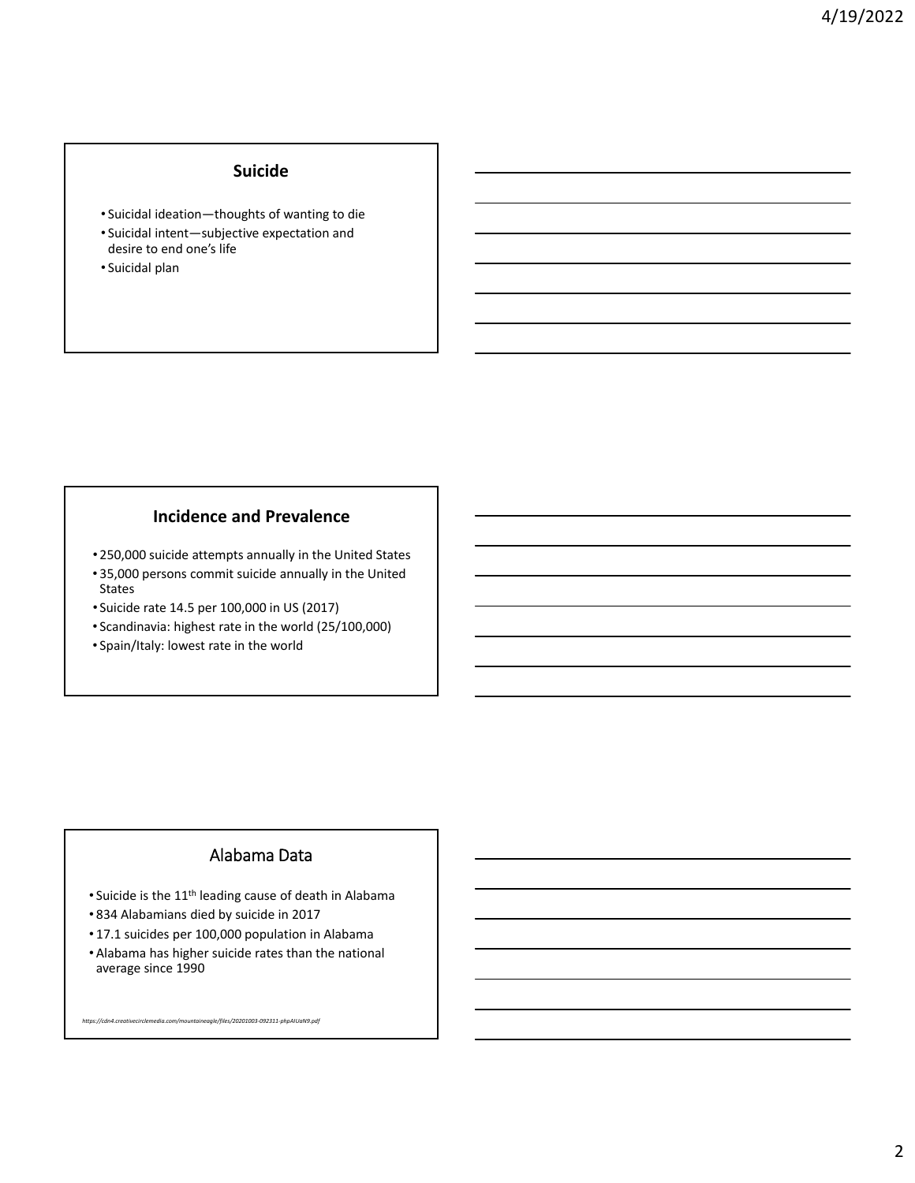## **Suicide**

- Suicidal ideation—thoughts of wanting to die
- Suicidal intent—subjective expectation and
- desire to end one's life
- Suicidal plan

## **Incidence and Prevalence**

- 250,000 suicide attempts annually in the United States
- 35,000 persons commit suicide annually in the United States
- Suicide rate 14.5 per 100,000 in US (2017)
- Scandinavia: highest rate in the world (25/100,000)
- Spain/Italy: lowest rate in the world

## Alabama Data

- Suicide is the 11th leading cause of death in Alabama
- 834 Alabamians died by suicide in 2017
- 17.1 suicides per 100,000 population in Alabama
- Alabama has higher suicide rates than the national average since 1990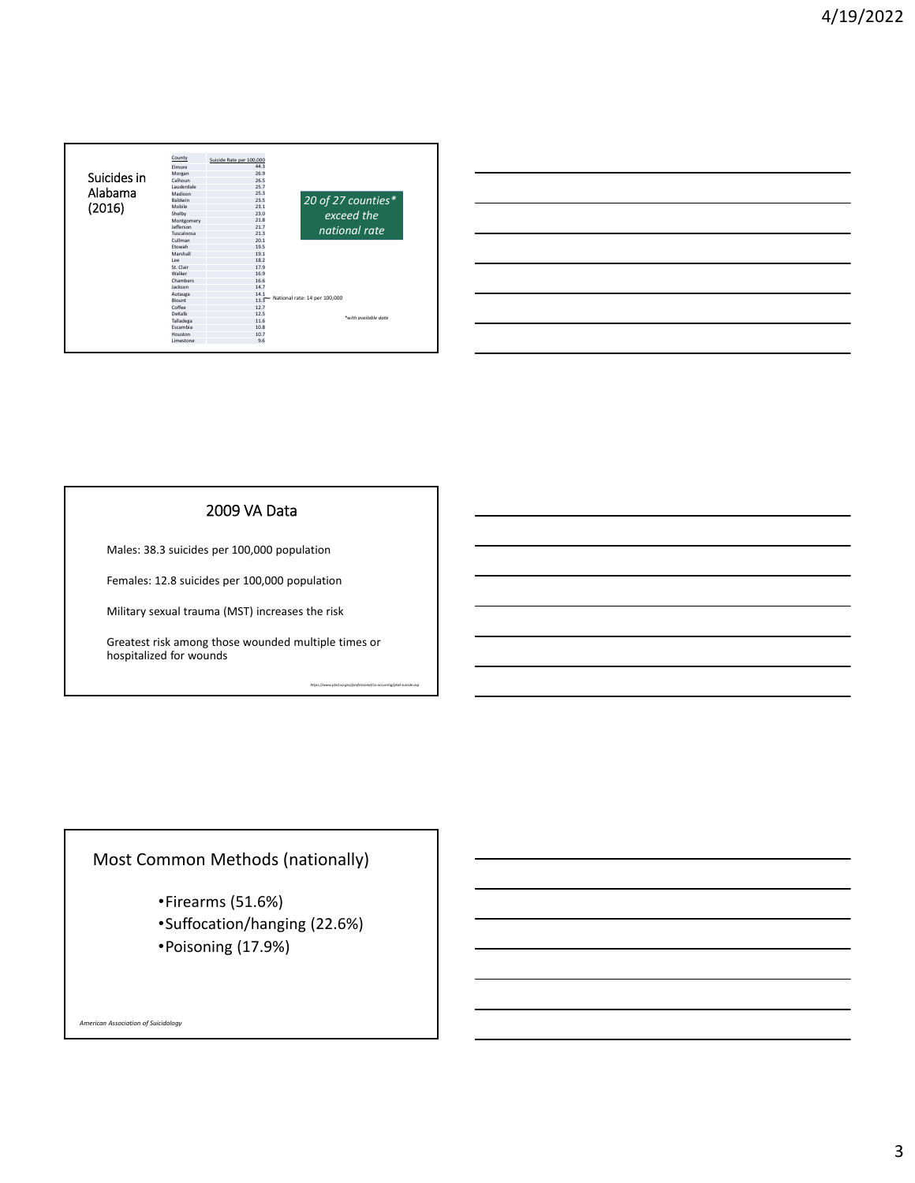| Suicides in<br>Alabama<br>(2016) | County         | Suicide Rate per 100,000 |                               |  |  |
|----------------------------------|----------------|--------------------------|-------------------------------|--|--|
|                                  | Elmore         | 44.3                     |                               |  |  |
|                                  | Morgan         | 26.9                     |                               |  |  |
|                                  | Calhoun        | 26.5                     |                               |  |  |
|                                  | Lauderdale     | 25.7                     |                               |  |  |
|                                  | Madison        | 25.3                     |                               |  |  |
|                                  | <b>Baldwin</b> | 23.5                     | 20 of 27 counties*            |  |  |
|                                  | Mobile         | 23.1                     |                               |  |  |
|                                  | Shelby         | 23.0                     | exceed the                    |  |  |
|                                  | Montgomery     | 21.8                     |                               |  |  |
|                                  | lefferson      | 21.7                     | national rate                 |  |  |
|                                  | Tuscaloosa     | 21.3                     |                               |  |  |
|                                  | Cullman        | 20.1                     |                               |  |  |
|                                  | Ftowah         | 19.5                     | National rate: 14 per 100,000 |  |  |
|                                  | Marshall       | 19.1                     |                               |  |  |
|                                  | Lee            | 18.2                     |                               |  |  |
|                                  | St. Clair      | 17.9                     |                               |  |  |
|                                  | Walker         | 16.9                     |                               |  |  |
|                                  | Chambers       | 16.6                     |                               |  |  |
|                                  | lackson        | 14.7                     |                               |  |  |
|                                  | Autauga        | 14.1                     |                               |  |  |
|                                  | <b>Blount</b>  | $13.3$ <sup>-1</sup>     |                               |  |  |
|                                  | Coffee         | 12.7                     |                               |  |  |
|                                  | DeKalh         | 12.5                     | *with available data          |  |  |
|                                  | Talladega      | 11.6                     |                               |  |  |
|                                  | Escambia       | 10.8                     |                               |  |  |
|                                  | Houston        | 10.7                     |                               |  |  |
|                                  | Limestone      | 9.6                      |                               |  |  |

| <u> 1989 - Johann Stoff, amerikansk politiker (d. 1989)</u> |  |                                                                                                                        |
|-------------------------------------------------------------|--|------------------------------------------------------------------------------------------------------------------------|
|                                                             |  | <u> 1989 - Andrea Andrew Maria (h. 1989).</u>                                                                          |
|                                                             |  | <u> 1989 - Jan Samuel Barbara, margaret e a seu a componente de la propia de la propia de la propia de la propia</u>   |
|                                                             |  | <u> 1989 - Andrea Andrew Maria (h. 1989).</u>                                                                          |
|                                                             |  | <u> 1989 - Johann Barn, mars ann an t-Amhain ann an t-Amhain ann an t-Amhain ann an t-Amhain an t-Amhain ann an t-</u> |
|                                                             |  |                                                                                                                        |

## 2009 VA Data

Males: 38.3 suicides per 100,000 population

Females: 12.8 suicides per 100,000 population

Military sexual trauma (MST) increases the risk

Greatest risk among those wounded multiple times or hospitalized for wounds

*https://www.ptsd.va.gov/professional/co‐occurring/ptsd‐suicide.asp*

## Most Common Methods (nationally)

- •Firearms (51.6%)
- •Suffocation/hanging (22.6%)
- •Poisoning (17.9%)

*American Association of Suicidology*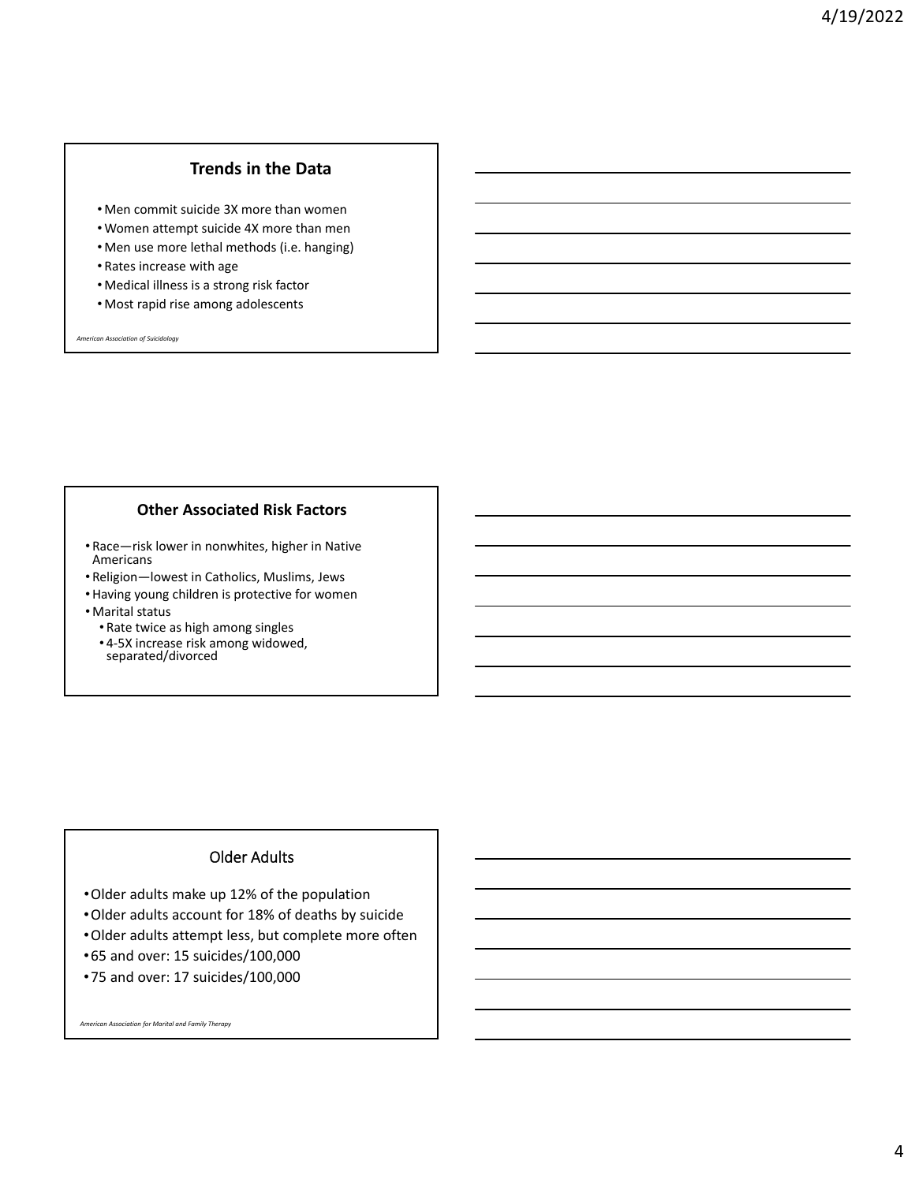## **Trends in the Data**

- Men commit suicide 3X more than women
- Women attempt suicide 4X more than men
- Men use more lethal methods (i.e. hanging)
- Rates increase with age
- Medical illness is a strong risk factor
- Most rapid rise among adolescents

*American Association of Suicidology*

## **Other Associated Risk Factors**

- Race—risk lower in nonwhites, higher in Native Americans
- Religion—lowest in Catholics, Muslims, Jews
- •Having young children is protective for women
- Marital status
	- Rate twice as high among singles
	- 4‐5X increase risk among widowed, separated/divorced

## Older Adults

- •Older adults make up 12% of the population
- •Older adults account for 18% of deaths by suicide
- •Older adults attempt less, but complete more often
- •65 and over: 15 suicides/100,000
- •75 and over: 17 suicides/100,000

*American Association for Marital and Family Therapy*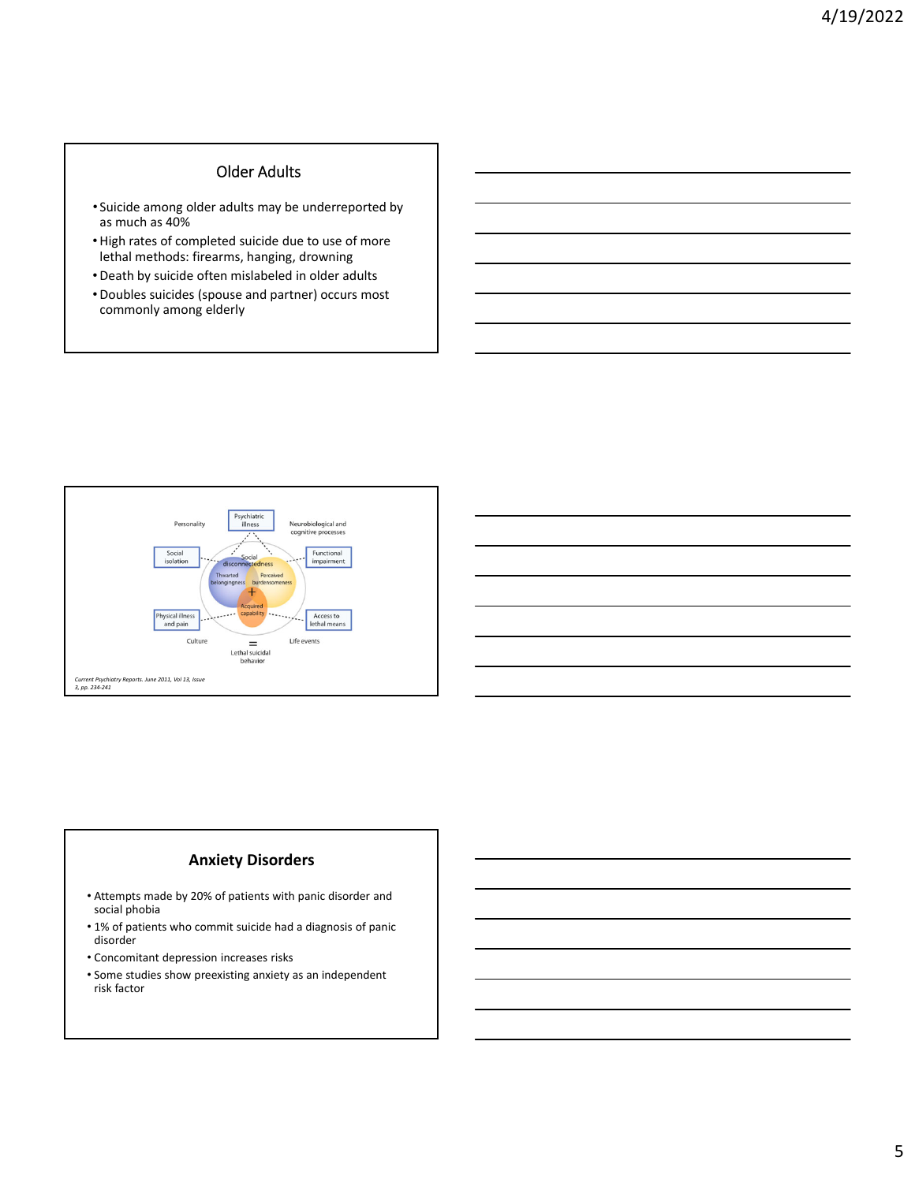## Older Adults

- Suicide among older adults may be underreported by as much as 40%
- •High rates of completed suicide due to use of more lethal methods: firearms, hanging, drowning
- •Death by suicide often mislabeled in older adults
- •Doubles suicides (spouse and partner) occurs most commonly among elderly



## **Anxiety Disorders**

- Attempts made by 20% of patients with panic disorder and social phobia
- 1% of patients who commit suicide had a diagnosis of panic disorder
- Concomitant depression increases risks
- Some studies show preexisting anxiety as an independent risk factor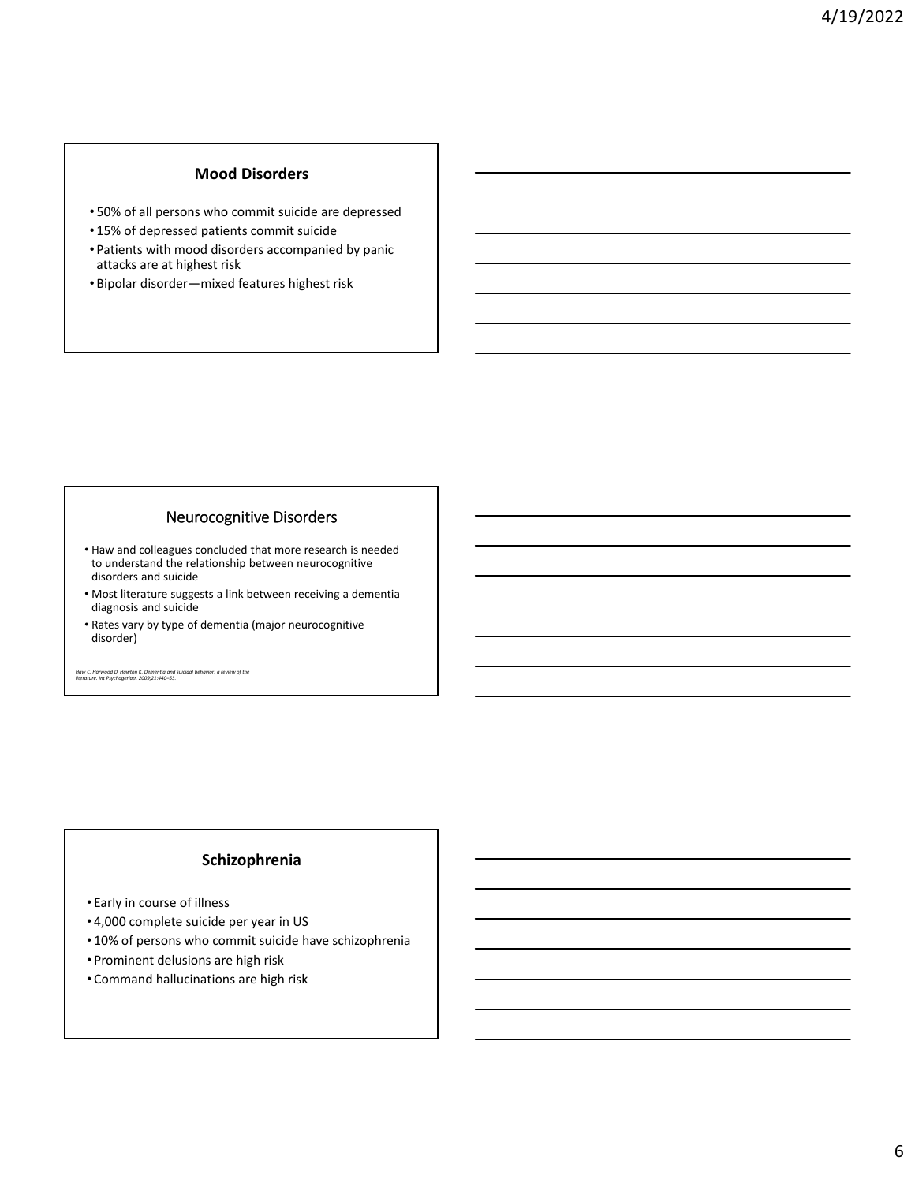## **Mood Disorders**

- 50% of all persons who commit suicide are depressed
- 15% of depressed patients commit suicide
- Patients with mood disorders accompanied by panic attacks are at highest risk
- Bipolar disorder—mixed features highest risk

## Neurocognitive Disorders

- Haw and colleagues concluded that more research is needed to understand the relationship between neurocognitive disorders and suicide
- Most literature suggests a link between receiving a dementia diagnosis and suicide
- Rates vary by type of dementia (major neurocognitive disorder)

Haw C, Harwood D, Hawton K. Dementia and suicidal behavior: a review of the<br>literature. Int Psychogeriatr. 2009;21:440–53.

## **Schizophrenia**

- Early in course of illness
- 4,000 complete suicide per year in US
- 10% of persons who commit suicide have schizophrenia
- Prominent delusions are high risk
- Command hallucinations are high risk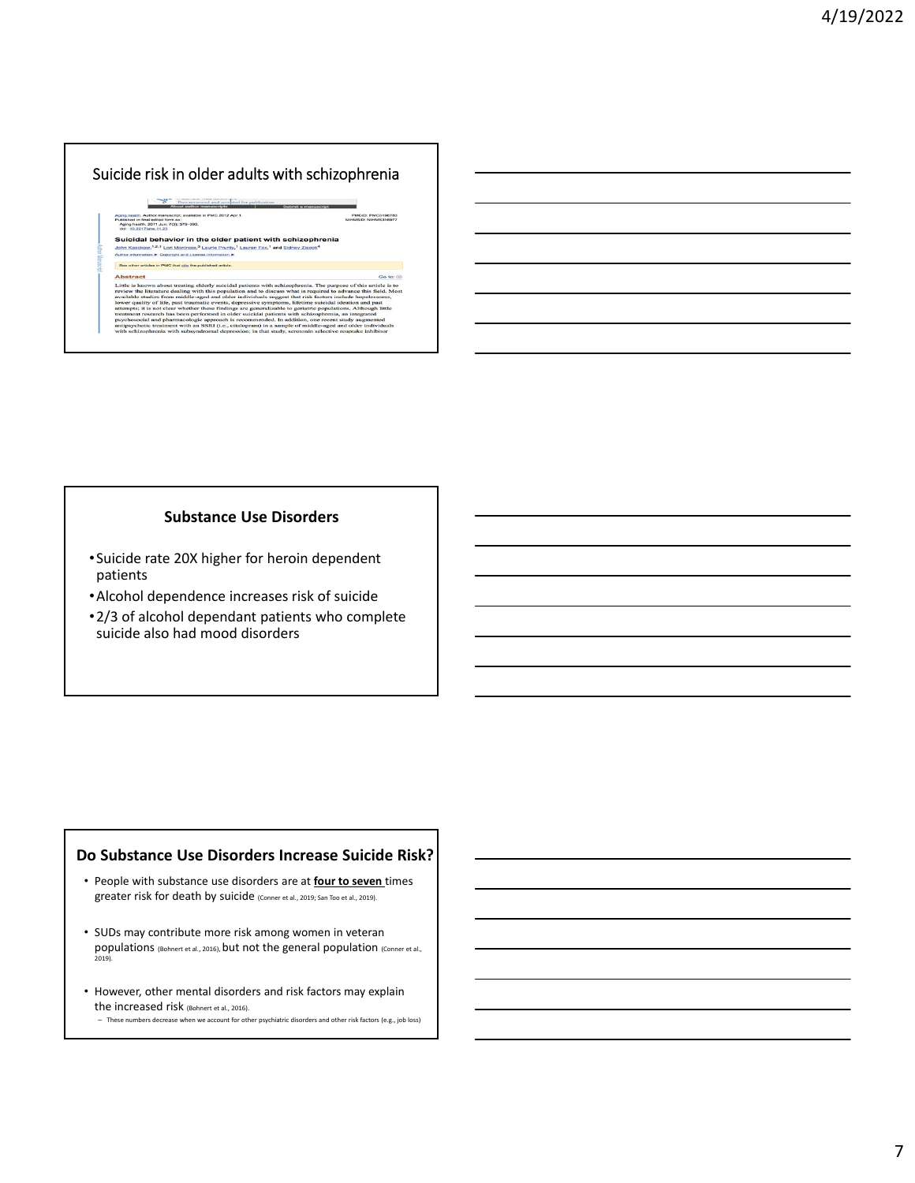## Suicide risk in older adults with schizophrenia

About author manuscripts<br>1. Author manuscript: available in PMC 2012 Apr 1.<br>final estised form as:<br>181. 2011 Jun; 7(3): 379–393.<br>217/ahe.11.23 Aging healt<br>Published is<br>Aging head

## **Suicidal behavior in the older patient with schizophrenia**<br>John Kasskow,<sup>1,2,†</sup> Lod Montoss,<sup>3</sup> Laurie Pointy,<sup>1</sup> Lauren Fox,<sup>1</sup> and Sidney,Zisook<sup>4</sup><br>Author information.<del>P.</del> Convisiti and License information.P.

### See other as cles in PMC that cite the published article. **Abstract**

**tract**<br> **is known about treating elderly suicidal patients with schizophrenia. The purpose of this article is to<br>
to the literature dealing with this population and to discuss what is required to advance this field. Most** Little is known<br>review the lite<br>available studi<br>lower quality<br>attempts; it is

PMCID: PMC3198783<br>NIHMSID: NIHMS316977

Go to:  $\odot$ 

## **Substance Use Disorders**

- •Suicide rate 20X higher for heroin dependent patients
- •Alcohol dependence increases risk of suicide
- •2/3 of alcohol dependant patients who complete suicide also had mood disorders

## **Do Substance Use Disorders Increase Suicide Risk?**

- People with substance use disorders are at **four to seven** times greater risk for death by suicide (Conner et al., 2019; San Too et al., 2019).
- SUDs may contribute more risk among women in veteran populations (Bohnert et al., 2016), but not the general population (Conner et al.,<br>2019).
- However, other mental disorders and risk factors may explain the increased risk (Bohnert et al., 2016).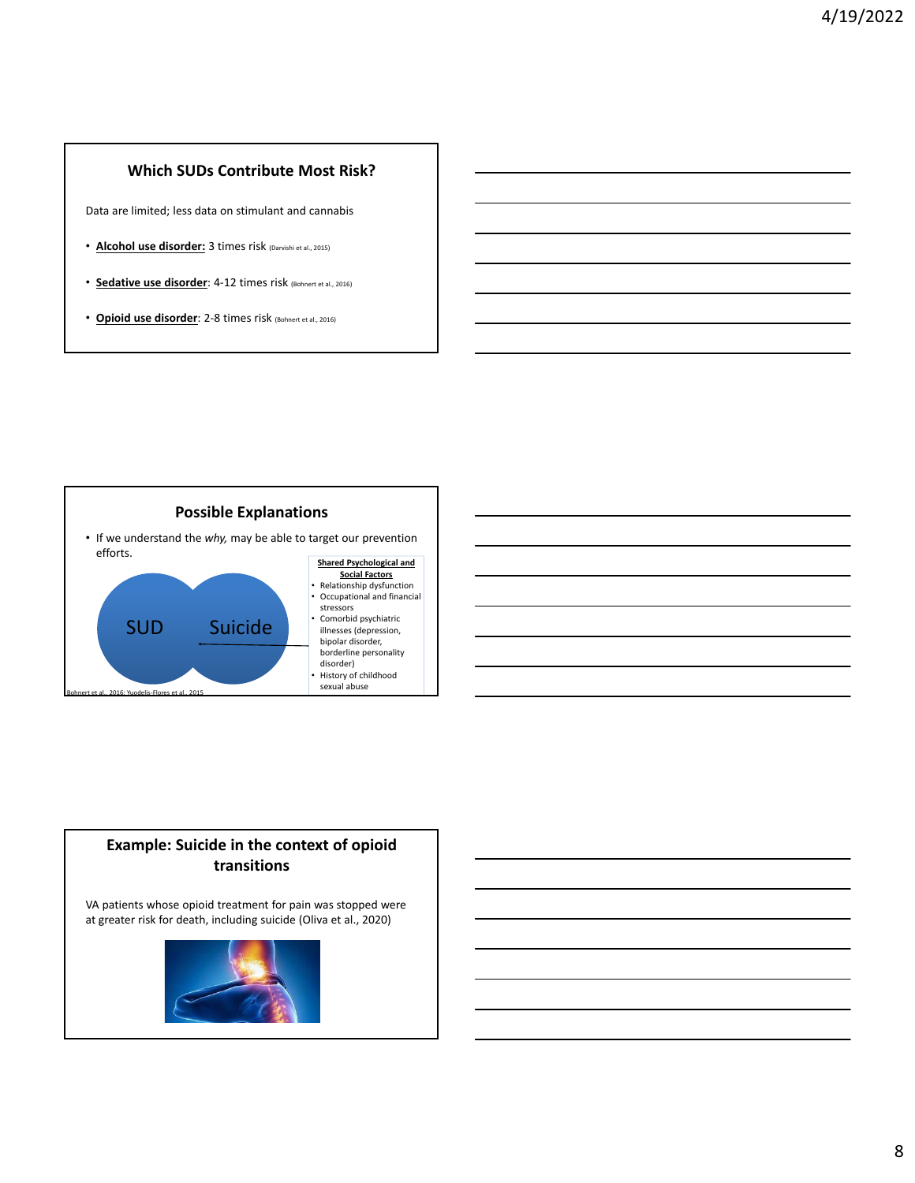## **Which SUDs Contribute Most Risk?**

Data are limited; less data on stimulant and cannabis

- **Alcohol use disorder:** 3 times risk (Darvishi et al., 2015)
- **Sedative use disorder**: 4‐12 times risk (Bohnert et al., 2016)
- **Opioid use disorder**: 2‐8 times risk (Bohnert et al., 2016)



## **Example: Suicide in the context of opioid transitions**

VA patients whose opioid treatment for pain was stopped were at greater risk for death, including suicide (Oliva et al., 2020)

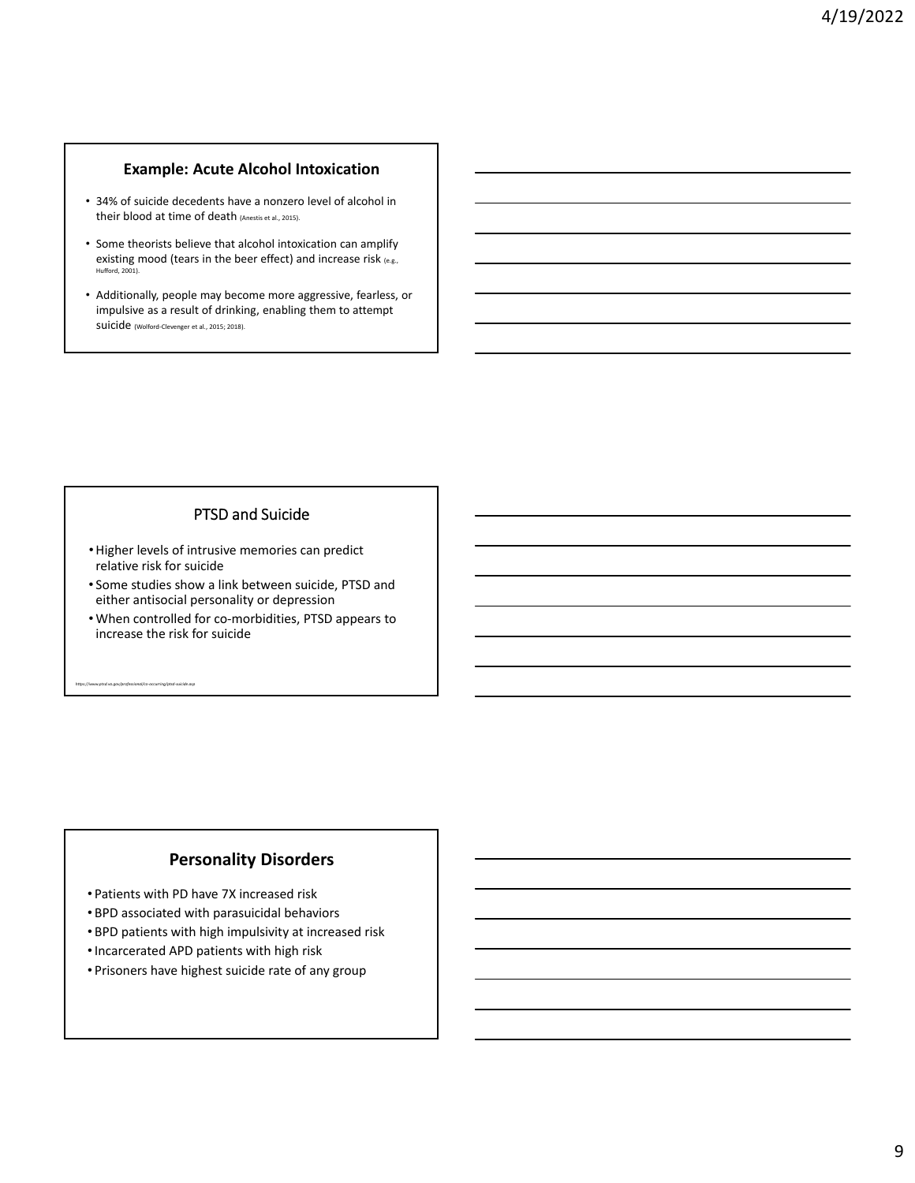### **Example: Acute Alcohol Intoxication**

- 34% of suicide decedents have a nonzero level of alcohol in their blood at time of death (Anestis et al., 2015).
- Some theorists believe that alcohol intoxication can amplify existing mood (tears in the beer effect) and increase risk (e.g., Hufford, 2001).
- Additionally, people may become more aggressive, fearless, or impulsive as a result of drinking, enabling them to attempt suicide (Wolford‐Clevenger et al., 2015; 2018).

## PTSD and Suicide

- •Higher levels of intrusive memories can predict relative risk for suicide
- Some studies show a link between suicide, PTSD and either antisocial personality or depression
- When controlled for co‐morbidities, PTSD appears to increase the risk for suicide

## **Personality Disorders**

• Patients with PD have 7X increased risk

*https://www.ptsd.va.gov/professional/co‐occurring/ptsd‐suicide.asp*

- BPD associated with parasuicidal behaviors
- BPD patients with high impulsivity at increased risk
- •Incarcerated APD patients with high risk
- Prisoners have highest suicide rate of any group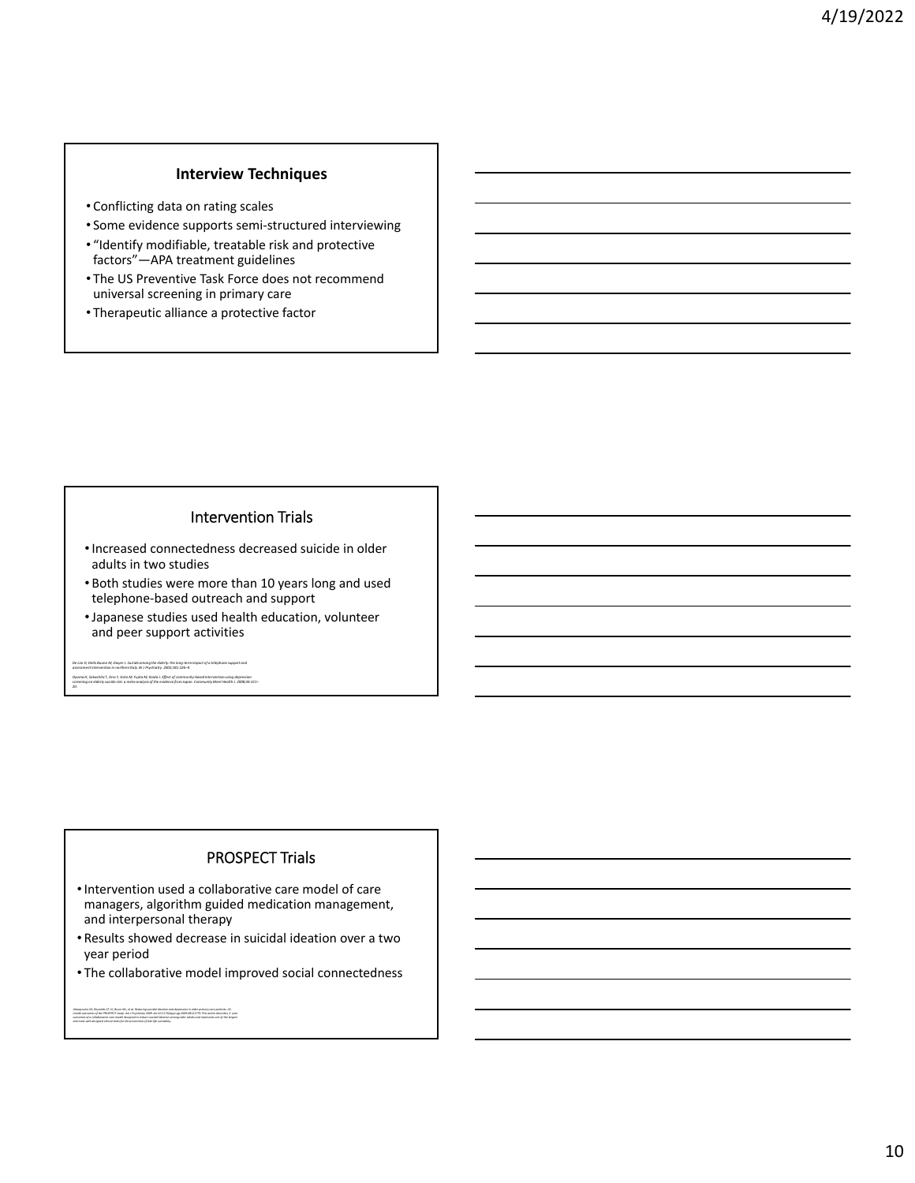## **Interview Techniques**

- Conflicting data on rating scales
- Some evidence supports semi‐structured interviewing
- "Identify modifiable, treatable risk and protective factors"—APA treatment guidelines
- The US Preventive Task Force does not recommend universal screening in primary care
- Therapeutic alliance a protective factor

## Intervention Trials

- •Increased connectedness decreased suicide in older adults in two studies
- Both studies were more than 10 years long and used telephone‐based outreach and support
- •Japanese studies used health education, volunteer and peer support activities

De Leo D, Dello Buono M, Dwyer J. Suicide amang the elderly: the long-term impact of a telephone support and<br>assessment intervention in northern Italy. Br J Psychiatry. 2002;181:226-9. Oyama H, Sakashita T, Ono Y, Goto M, Fujita M, Koida J. Effect of community-based intervention using depression<br>screening on elderly suicide risk: a meta-analysis of the evidence from Japan. Community Ment Health J. 2008;4

*20.*

## PROSPECT Trials

- •Intervention used a collaborative care model of care managers, algorithm guided medication management, and interpersonal therapy
- Results showed decrease in suicidal ideation over a two year period
- The collaborative model improved social connectedness

Alexpoules GS, Payvalds GF, III, Buce Mit, et al. Bedschg suicidal sleedon and depension in older primary can patients: 34-<br>month outcames of the PRGSPECT study. Ans I Psychiatry 2000. doi:10.11716/oppl.ajp.2006.08121779.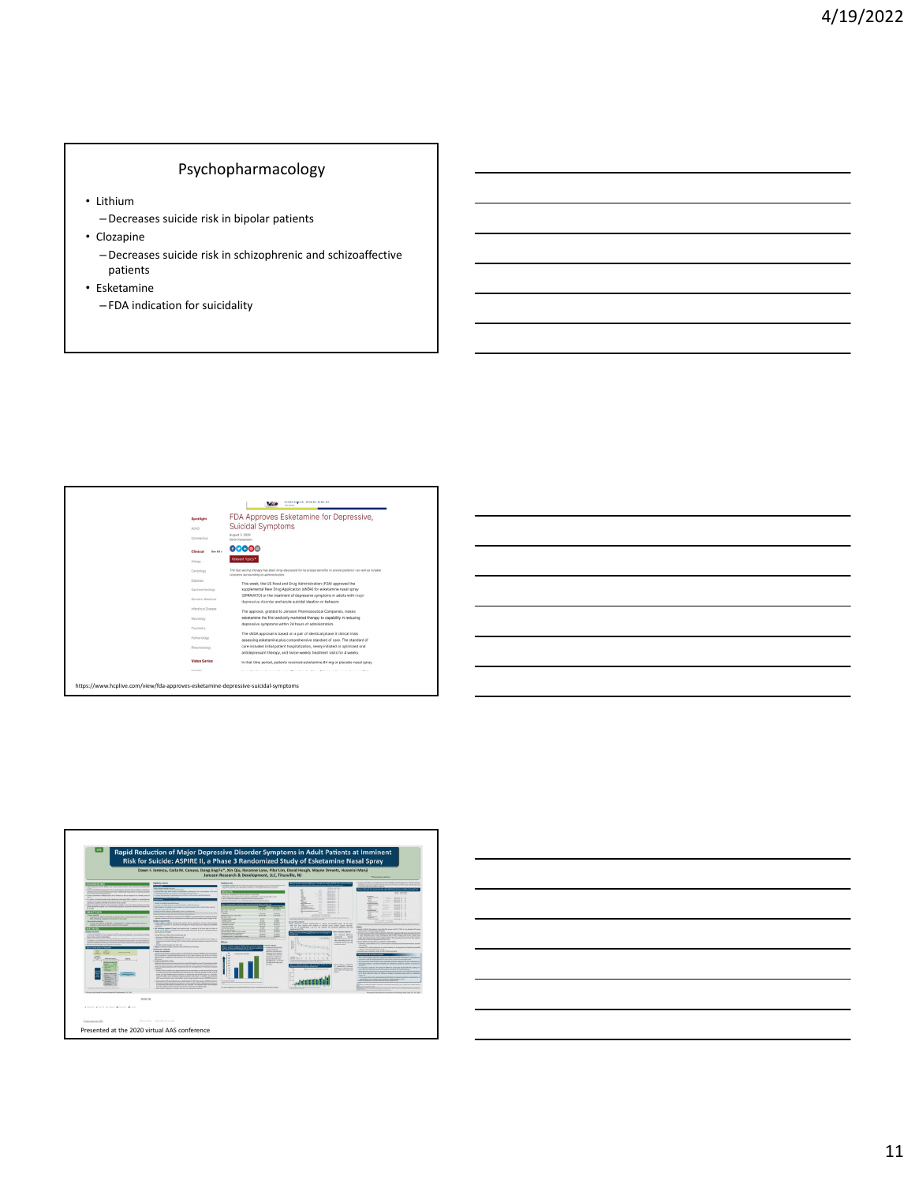## Psychopharmacology

- Lithium
	- –Decreases suicide risk in bipolar patients
- Clozapine
	- –Decreases suicide risk in schizophrenic and schizoaffective patients
- Esketamine
	- FDA indication for suicidality